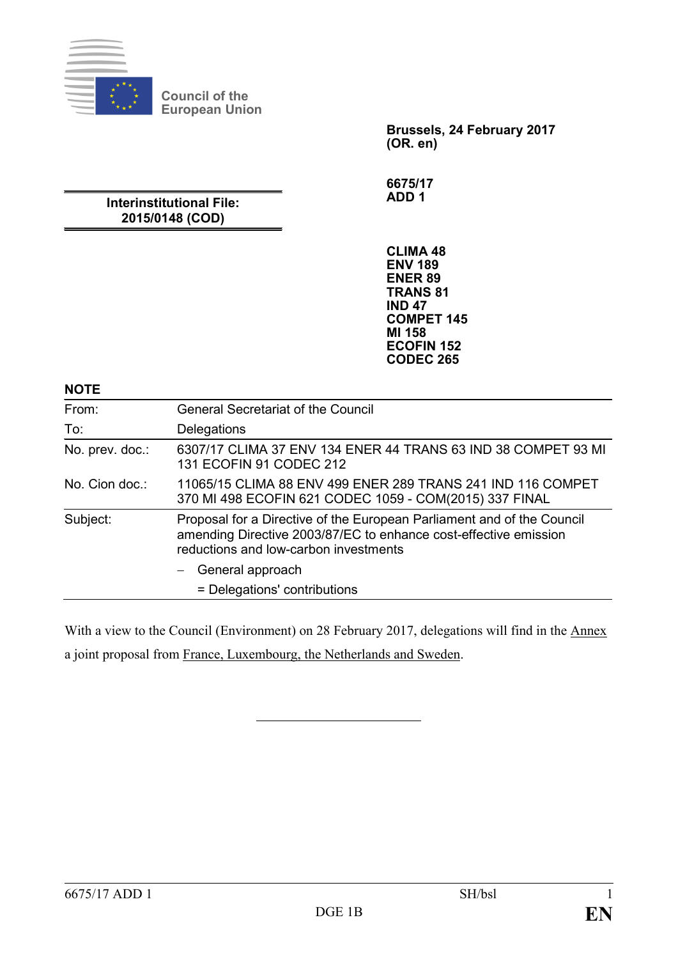

**Council of the European Union**

> **Brussels, 24 February 2017 (OR. en)**

**6675/17 ADD 1**

# **Interinstitutional File: 2015/0148 (COD)**

**CLIMA 48 ENV 189 ENER 89 TRANS 81 IND 47 COMPET 145 MI 158 ECOFIN 152 CODEC 265**

#### **NOTE**

| From:           | <b>General Secretariat of the Council</b>                                                                                                                                           |
|-----------------|-------------------------------------------------------------------------------------------------------------------------------------------------------------------------------------|
| To:             | Delegations                                                                                                                                                                         |
| No. prev. doc.: | 6307/17 CLIMA 37 ENV 134 ENER 44 TRANS 63 IND 38 COMPET 93 MI<br>131 ECOFIN 91 CODEC 212                                                                                            |
| No. Cion doc.:  | 11065/15 CLIMA 88 ENV 499 ENER 289 TRANS 241 IND 116 COMPET<br>370 MI 498 ECOFIN 621 CODEC 1059 - COM(2015) 337 FINAL                                                               |
| Subject:        | Proposal for a Directive of the European Parliament and of the Council<br>amending Directive 2003/87/EC to enhance cost-effective emission<br>reductions and low-carbon investments |
|                 | General approach                                                                                                                                                                    |
|                 | = Delegations' contributions                                                                                                                                                        |

With a view to the Council (Environment) on 28 February 2017, delegations will find in the Annex a joint proposal from France, Luxembourg, the Netherlands and Sweden.